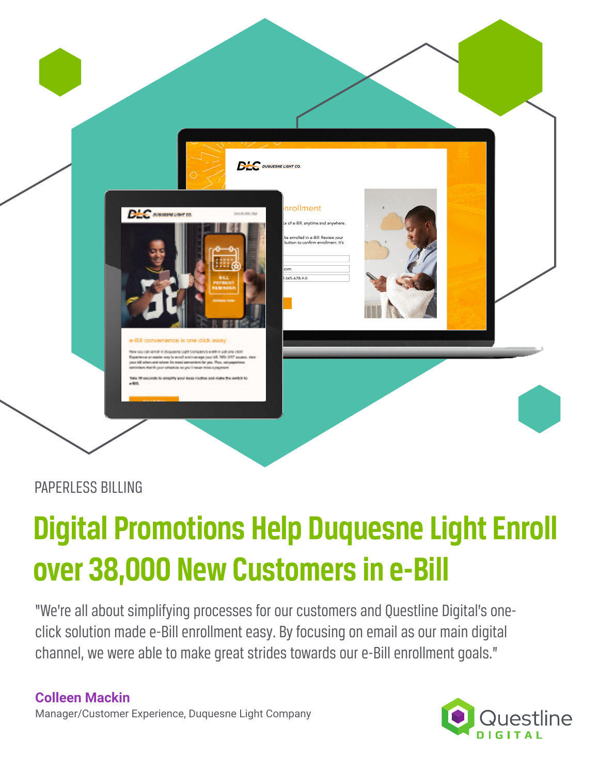

### PAPERLESS BILLING

# **Digital Promotions Help Duquesne Light Enroll over 38,000 New Customers in e-Bill**

"We're all about simplifying processes for our customers and Questline Digital's oneclick solution made e-Bill enrollment easy. By focusing on email as our main digital channel, we were able to make great strides towards our e-Bill enrollment goals."

**Colleen Mackin** Manager/Customer Experience, Duquesne Light Company